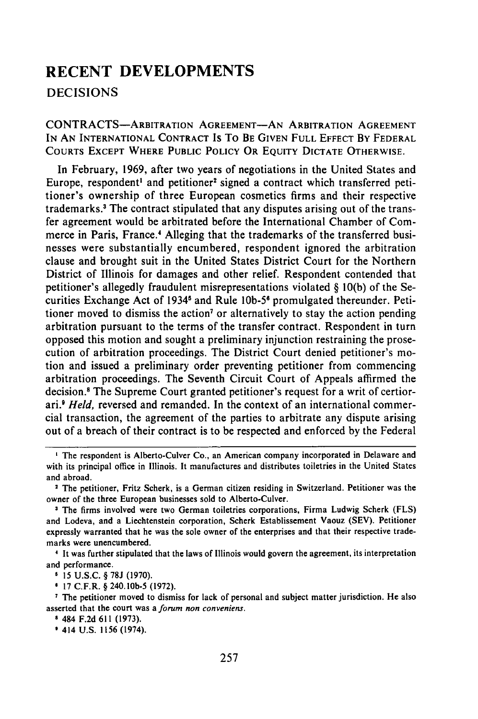## **RECENT DEVELOPMENTS** DECISIONS

CONTRACTS-ARBITRATION **AGREEMENT-AN** ARBITRATION **AGREEMENT** IN **AN** INTERNATIONAL **CONTRACT** Is To **BE** GIVEN **FULL EFFECT By** FEDERAL COURTS EXCEPT WHERE **PUBLIC** POLICY OR **EQUITY** DICTATE OTHERWISE.

In February, 1969, after two years of negotiations in the United States and Europe, respondent<sup>1</sup> and petitioner<sup>2</sup> signed a contract which transferred petitioner's ownership of three European cosmetics firms and their respective trademarks.3 The contract stipulated that any disputes arising out of the transfer agreement would be arbitrated before the International Chamber of Commerce in Paris, France.4 Alleging that the trademarks of the transferred businesses were substantially encumbered, respondent ignored the arbitration clause and brought suit in the United States District Court for the Northern District of Illinois for damages and other relief. Respondent contended that petitioner's allegedly fraudulent misrepresentations violated **§** 10(b) of the Securities Exchange Act of 1934<sup>5</sup> and Rule 10b-5<sup>6</sup> promulgated thereunder. Petitioner moved to dismiss the action<sup>7</sup> or alternatively to stay the action pending arbitration pursuant to the terms of the transfer contract. Respondent in turn opposed this motion and sought a preliminary injunction restraining the prosecution of arbitration proceedings. The District Court denied petitioner's motion and issued a preliminary order preventing petitioner from commencing arbitration proceedings. The Seventh Circuit Court of Appeals affirmed the decision.8 The Supreme Court granted petitioner's request for a writ of certiorari.' *Held,* reversed and remanded. In the context of an international commercial transaction, the agreement of the parties to arbitrate any dispute arising out of a breach of their contract is to be respected and enforced **by** the Federal

**I** The respondent is Alberto-Culver Co., an American company incorporated in Delaware and with its principal office in Illinois. It manufactures and distributes toiletries in the United States and abroad.

<sup>2</sup>The petitioner, Fritz Scherk, is a German citizen residing in Switzerland. Petitioner was the owner of the three European businesses sold to Alberto-Culver.

<sup>&</sup>lt;sup>3</sup> The firms involved were two German toiletries corporations, Firma Ludwig Scherk (FLS) and Lodeva, and a Liechtenstein corporation, Scherk Establissement Vaouz (SEV). Petitioner expressly warranted that he was the sole owner of the enterprises and that their respective trademarks were unencumbered.

**I** It was further stipulated that the laws of Illinois would govern the agreement, its interpretation and performance.

**<sup>5</sup>** 15 **U.S.C.** § 78J (1970).

<sup>&#</sup>x27; 17 C.F.R. § 240. **lOb-5** (1972).

**<sup>1</sup>** The petitioner moved to dismiss for lack of personal and subject matter jurisdiction. He also asserted that the court was a forum non conveniens.

**<sup>9</sup>** 484 F.2d 611 (1973).

**<sup>9</sup>** 414 U.S. 1156 (1974).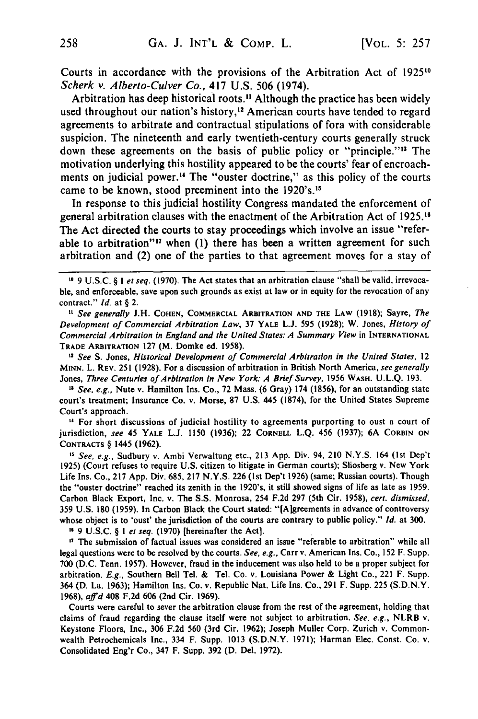Courts in accordance with the provisions of the Arbitration Act of **192510** Scherk v. Alberto-Culver Co., 417 U.S. 506 (1974).

Arbitration has deep historical roots." Although the practice has been widely used throughout our nation's history,<sup>12</sup> American courts have tended to regard agreements to arbitrate and contractual stipulations of fora with considerable suspicion. The nineteenth and early twentieth-century courts generally struck down these agreements on the basis of public policy or "principle."<sup>13</sup> The motivation underlying this hostility appeared to be the courts' fear of encroachments on judicial power.<sup>14</sup> The "ouster doctrine," as this policy of the courts came to be known, stood preeminent into the 1920's. <sup>15</sup>

In response to this judicial hostility Congress mandated the enforcement of general arbitration clauses with the enactment of the Arbitration Act of **1925.16** The Act directed the courts to stay proceedings which involve an issue "referable to arbitration"<sup>17</sup> when (1) there has been a written agreement for such arbitration and (2) one of the parties to that agreement moves for a stay of

*1* See generally J.H. **COHEN,** COMMERCIAL ARBITRATION **AND** THE LAW **(1918);** Sayre, The Development of Commercial *Arbitration Law,* 37 YALE L.J. 595 (1928); W. Jones, *History of* Commercial Arbitration in England and the United States: A Summary View in INTERNATIONAL TRADE ARBITRATION **127** (M. Domke ed. **1958).**

*<sup>12</sup>*See **S.** Jones, *Historical* Development of Commercial Arbitration in the United States, 12 MINN. L. REv. 251 (1928). For a discussion of arbitration in British North America, see generally Jones, *Three Centuries of* Arbitration in New *York:* A Brief Survey, 1956 WASH. U.L.Q. 193.

<sup>13</sup> See, e.g., Nute v. Hamilton Ins. Co., 72 Mass. (6 Gray) 174 (1856), for an outstanding state court's treatment; Insurance Co. v. Morse, 87 U.S. 445 (1874), for the United States Supreme Court's approach.

**11** For short discussions of judicial hostility to agreements purporting to oust a court of jurisdiction, see 45 YALE **L.J. 1150 (1936);** 22 CORNELL **L.Q.** 456 **(1937); 6A** CORBIN **ON CONTRACTS** § 1445 **(1962).**

*5* See, e.g., Sudbury v. Ambi Verwaltung etc., **213 App.** Div. 94, 210 **N.Y.S.** 164 (Ist Dep't **1925)** (Court refuses to require **U.S.** citizen to litigate in German courts); Sliosberg v. New York Life Ins. Co., **217 App.** Div. **685, 217 N.Y.S. 226** (1st Dep't **1926)** (same; Russian courts). Though the "ouster doctrine" reached its zenith in the 1920's, it still showed signs of life as late as **1959.** Carbon Black Export, Inc. v. The **S.S.** Monrosa, 254 **F.2d 297** (5th Cir. 1958), cert. dismissed, 359 **U.S. 180 (1959).** In Carbon Black the Court stated: "[Algreements in advance of controversy whose object is to 'oust' the jurisdiction of the courts are contrary to public policy." **Id.** at **300.**

**"** 9 **U.S.C.** § **I** et seq. **(1970)** [hereinafter the Act].

<sup>17</sup> The submission of factual issues was considered an issue "referable to arbitration" while all legal questions were to be resolved **by** the courts. See, e.g., Carr v. American Ins. Co., **152** F. Supp. **700 (D.C.** Tenn. **1957).** However, fraud in the inducement was also held to be a proper subject for arbitration. **E.g.,** Southern Bell Tel. **&** Tel. Co. v. Louisiana Power & Light Co., 221 F. Supp. 364 **(D.** La. 1963); Hamilton Ins. Co. v. Republic Nat. Life Ins. Co., **291** F. Supp. **225 (S.D.N.Y. 1968),** affd 408 **F.2d 606** (2nd Cir. **1969).**

Courts were careful to sever the arbitration clause from the rest of the agreement, holding that claims of fraud regarding the clause itself were not subject to arbitration. See, e.g., NLRB v. Keystone Floors, Inc., **306 F.2d 560** (3rd Cir. 1962); Joseph Muller Corp. Zurich v. Commonwealth Petrochemicals Inc., 334 F. Supp. **1013 (S.D.N.Y. 1971);** Harman Elec. Const. Co. v. Consolidated Eng'r Co., 347 F. Supp. **392 (D.** Del. **1972).**

**<sup>1\*</sup>** 9 U.S.C. § I et seq. (1970). The Act states that an arbitration clause "shall be valid, irrevocable, and enforceable, save upon such grounds as exist at law or in equity for the revocation of any contract." *Id.* at § 2.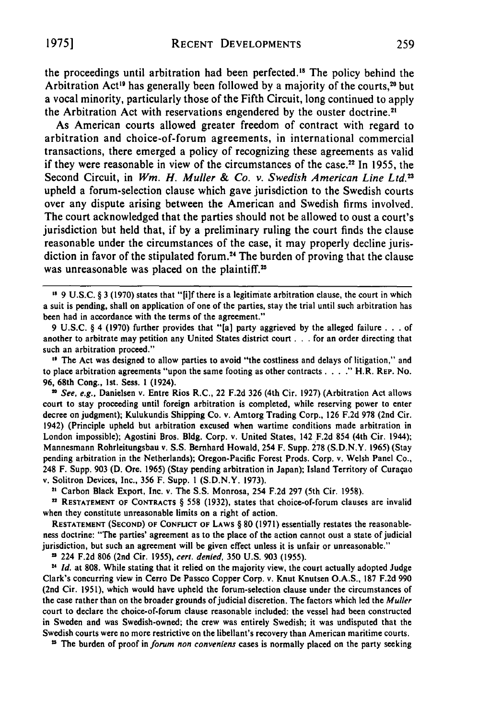the proceedings until arbitration had been perfected." The policy behind the Arbitration Act<sup>19</sup> has generally been followed by a majority of the courts,<sup>20</sup> but a vocal minority, particularly those of the Fifth Circuit, long continued to apply the Arbitration Act with reservations engendered by the ouster doctrine.<sup>21</sup>

As American courts allowed greater freedom of contract with regard to arbitration and choice-of-forum agreements, in international commercial transactions, there emerged a policy of recognizing these agreements as valid if they were reasonable in view of the circumstances of the case.<sup>22</sup> In 1955, the Second Circuit, in Wm. H. Muller & Co. v. Swedish American Line Ltd.<sup>23</sup> upheld a forum-selection clause which gave jurisdiction to the Swedish courts over any dispute arising between the American and Swedish firms involved. The court acknowledged that the parties should not be allowed to oust a court's jurisdiction but held that, if by a preliminary ruling the court finds the clause reasonable under the circumstances of the case, it may properly decline jurisdiction in favor of the stipulated forum. 4 The burden of proving that the clause was unreasonable was placed on the plaintiff.<sup>25</sup>

**"** The Act was designed to allow parties to avoid "the costliness and delays of litigation," and to place arbitration agreements "upon the same footing as other contracts . . . ." H.R. REP. No. **96,** 68th Cong., Ist. Sess. **1** (1924).

20 **See,** e.g., Danielsen v. Entre Rios R.C., 22 F.2d **326** (4th Cir. **1927)** (Arbitration Act allows court to stay proceeding until foreign arbitration is completed, while reserving power to enter decree on judgment); Kulukundis Shipping Co. v. Amtorg Trading Corp., **126** F.2d **978** (2nd Cir. 1942) (Principle upheld but arbitration excused when wartime conditions made arbitration in London impossible); Agostini Bros. **Bldg.** Corp. v. United States, 142 F.2d 854 (4th Cir. 1944); Mannesmann Rohrleitungsbau v. S.S. Bernhard Howald, 254 F. Supp. **278** (S.D.N.Y. 1965) (Stay pending arbitration in the Netherlands); Oregon-Pacific Forest Prods. Corp. v. Welsh Panel Co., 248 F. Supp. **903 (D.** Ore. 1965) (Stay pending arbitration in Japan); Island Territory of Curaqao v. Solitron Devices, Inc., **356** F. Supp. **I** (S.D.N.Y. 1973).

**<sup>22</sup>**Carbon Black Export, Inc. v. The S.S. Monrosa, 254 F.2d **297** (5th Cir. 1958).

n **RESTATEMENT OF CONTRACrS** § **558 (1932),** states that choice-of-forum clauses are invalid when they constitute unreasonable limits on a right of action.

**RESTATEMENT (SECOND) OF CONFLICT OF LAWS** § **80** (1971) essentially restates the reasonableness doctrine: "The parties' agreement as to the place of the action cannot oust a state of judicial jurisdiction, but such an agreement will be given effect unless it is unfair or unreasonable."

224 F.2d 806 (2nd Cir. 1955), cert. denied, 350 U.S. 903 (1955).

<sup>24</sup> Id. at 808. While stating that it relied on the majority view, the court actually adopted Judge Clark's concurring view in Cerro **De** Passco Copper Corp. v. Knut Knutsen O.A.S., 187 F.2d 990 (2nd Cir. 1951), which would have upheld the forum-selection clause under the circumstances of the case rather than on the broader grounds of judicial discretion. The factors which led the *Muller* court to declare the choice-of-forum clause reasonable included: the vessel had been constructed in Sweden and was Swedish-owned; the crew was entirely Swedish; it was undisputed that the Swedish courts were no more restrictive on the libellant's recovery than American maritime courts.

**"** The burden of proof in *forum non conveniens* cases is normally placed on the party seeking

**Is 9** U.S.C. § 3 **(1970)** states that "[i]f there is a legitimate arbitration clause, the court in which a suit is pending, shall on application of one of the parties, stay the trial until such arbitration has been had in accordance with the terms of the agreement."

<sup>9</sup> U.S.C. § 4 **(1970)** further provides that "[a] party aggrieved by the alleged failure . . . of another to arbitrate may petition any United States district court . . . for an order directing that such an arbitration proceed."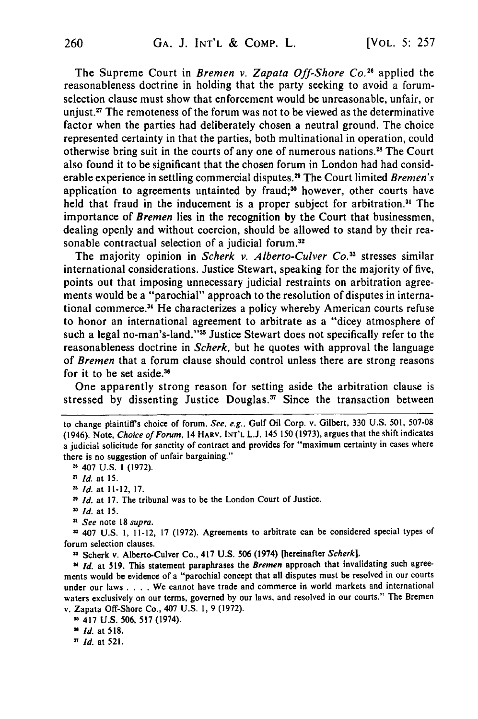The Supreme Court in Bremen *v. Zapata Off-Shore Co."'* applied the reasonableness doctrine in holding that the party seeking to avoid a forumselection clause must show that enforcement would be unreasonable, unfair, or unjust.<sup>27</sup> The remoteness of the forum was not to be viewed as the determinative factor when the parties had deliberately chosen a neutral ground. The choice represented certainty in that the parties, both multinational in operation, could otherwise bring suit in the courts of any one of numerous nations.<sup>28</sup> The Court also found it to be significant that the chosen forum in London had had considerable experience in settling commercial disputes.<sup>29</sup> The Court limited *Bremen's* application to agreements untainted by fraud;<sup>30</sup> however, other courts have held that fraud in the inducement is a proper subject for arbitration.<sup>31</sup> The importance of *Bremen* lies in the recognition by the Court that businessmen, dealing openly and without coercion, should be allowed to stand by their reasonable contractual selection of a judicial forum.<sup>32</sup>

The majority opinion in *Scherk v. Alberto-Culver Co.3* stresses similar international considerations. Justice Stewart, speaking for the majority of five, points out that imposing unnecessary judicial restraints on arbitration agreements would be a "parochial" approach to the resolution of disputes in international commerce.<sup>34</sup> He characterizes a policy whereby American courts refuse to honor an international agreement to arbitrate as a "dicey atmosphere of such a legal no-man's-land."<sup>35</sup> Justice Stewart does not specifically refer to the reasonableness doctrine in *Scherk,* but he quotes with approval the language of *Bremen* that a forum clause should control unless there are strong reasons for it to be set aside. **<sup>3</sup>**

One apparently strong reason for setting aside the arbitration clause is stressed by dissenting Justice Douglas.<sup>37</sup> Since the transaction between

<sup>2</sup>*Id.* at 17. The tribunal was to be the London Court of Justice.

**'** *See* note 18 *supra.*

n 407 U.S. **1,** 11-12, 17 (1972). Agreements to arbitrate can be considered special types of forum selection clauses.

**"** Scherk v. Alberto-Culver Co., 417 **U.S. 506** (1974) [hereinafter *Scherk].*

*" Id.* at 519. This statement paraphrases the *Bremen* approach that invalidating such agreements would be evidence of a "parochial concept that all disputes must be resolved in our courts under our laws .**. .** .We cannot have trade and commerce in world markets and international waters exclusively on our terms, governed by our laws, and resolved in our courts." The Bremen v. Zapata Off-Shore Co., 407 U.S. **1,** 9 (1972).

*" Id.* at **521.**

to change plaintiff's choice of forum. *See, e.g.,* Gulf Oil Corp. v. Gilbert, 330 U.S. 501, 507-08 (1946). Note, *Choice of Forum,* 14 HARV. **INT'L L.J.** 145 **150 (1973),** argues that the shift indicates a judicial solicitude for sanctity of contract and provides for "maximum certainty in cases where there is no suggestion of unfair bargaining."

**<sup>-</sup>** 407 U.S. I (1972).

<sup>2</sup>*Id.* at 15. <sup>n</sup>*Id.* at 11-12, 17.

o *Id.* at 15.

**<sup>3</sup>** 417 U.S. 506, **517** (1974).

**<sup>&</sup>quot;** *Id.* at **518.**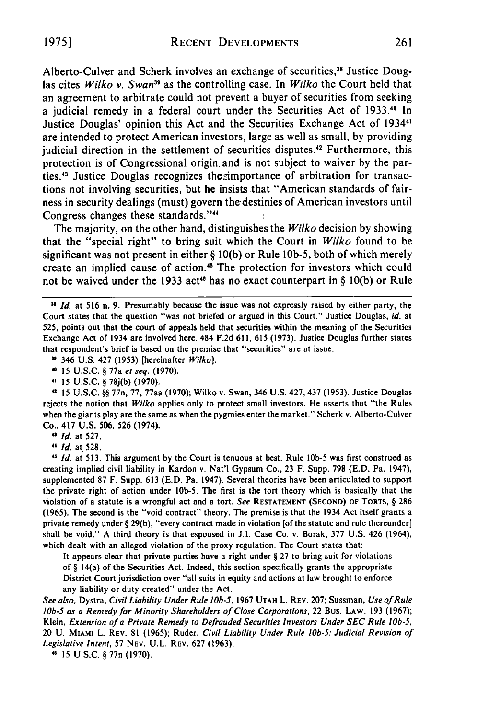Alberto-Culver and Scherk involves an exchange of securities," Justice Douglas cites *Wilko v. Swan"5* as the controlling case. In *Wilko* the Court held that an agreement to arbitrate could not prevent a buyer of securities from seeking a judicial remedy in a federal court under the Securities Act of 1933." In Justice Douglas' opinion this Act and the Securities Exchange Act of 1934", are intended to protect American investors, large as well as small, by providing judicial direction in the settlement of securities disputes.<sup>42</sup> Furthermore, this protection is of Congressional origin, and is not subject to waiver by the parties.<sup>43</sup> Justice Douglas recognizes the simportance of arbitration for transactions not involving securities, but he insists that "American standards of fairness in security dealings (must) govern thedestinies of American investors until Congress changes these standards."<sup>44</sup> ţ

The majority, on the other hand, distinguishes the *Wilko* decision by showing that the "special right" to bring suit which the Court in *Wilko* found to be significant was not present in either § 10(b) or Rule lOb-5, both of which merely create an implied cause of action.<sup>45</sup> The protection for investors which could not be waived under the 1933 act<sup>46</sup> has no exact counterpart in § 10(b) or Rule

 $346$  U.S. 427 (1953) [hereinafter Wilko].

" 15 U.S.C. § 77a et seq. (1970).

" 15 U.S.C. § 78j(b) (1970).

2 15 U.S.C. **§§** 77n, 77, 77aa (1970); Wilko v. Swan, 346 U.S. 427, 437 (1953). Justice Douglas rejects the notion that Wilko applies only to protect small investors. He asserts that "the Rules when the giants play are the same as when the pygmies enter the market." Scherk v. Alberto-Culver Co., 417 U.S. 506, 526 (1974).

*Id.* at 527.

**"** *Id.* at 528.

**,5** *Id.* at 513. This argument by the Court is tenuous at best. Rule **lOb-5** was first construed as creating implied civil liability in Kardon v. Nat'l Gypsum Co., 23 F. Supp. 798 (E.D. Pa. 1947), supplemented 87 F. Supp. 613 (E.D. Pa. 1947). Several theories have been articulated to support the private right of action under **lOb-5.** The first is the tort theory which is basically that the violation of a statute is a wrongful act and a tort. *See* **RESTATEMENT (SECOND)** OF TORTS, § 286 (1965). The second is the "void contract" theory. The premise is that the 1934 Act itself grants a private remedy under § 29(b), "every contract made in violation [of the statute and rule thereunder] shall be void." A third theory is that espoused in J.I. Case Co. v. Borak, 377 U.S. 426 (1964), which dealt with an alleged violation of the proxy regulation. The Court states that:

It appears clear that private parties have a right under § 27 to bring suit for violations of  $\S$  14(a) of the Securities Act. Indeed, this section specifically grants the appropriate District Court jurisdiction over "all suits in equity and actions at law brought to enforce any liability or duty created" under the Act.

*See* also, Dystra, *Civil* Liability Under *Rule lOb-5,* 1967 **UTAH** L. REv. 207; Sussman, *Use of Rule lOb-5 as a Remedy for Minority Shareholders of Close* Corporations, 22 Bus. LAW. 193 (1967); Klein, *Extension of a Private* Remedy to Defrauded Securities Investors Under SEC Rule lOb-5, 20 U. **MIAMi** L. REV. 81 (1965); Ruder, Civil Liability Under Rule lOb-5: Judicial Revision of Legislative Intent, **57 NEV. U.L.** REV. 627 (1963).

4 15 U.S.C. § 77n (1970).

<sup>&</sup>quot; *Id.* at **516** n. **9.** Presumably because the issue was not expressly raised **by** either party, the Court states that the question "was not briefed or argued in this Court." Justice Douglas, *id.* at 525, points out that the court of appeals held that securities within the meaning of the Securities Exchange Act of 1934 are involved here. 484 F.2d 611, 615 (1973). Justice Douglas further states that respondent's brief is based on the premise that "securities" are at issue.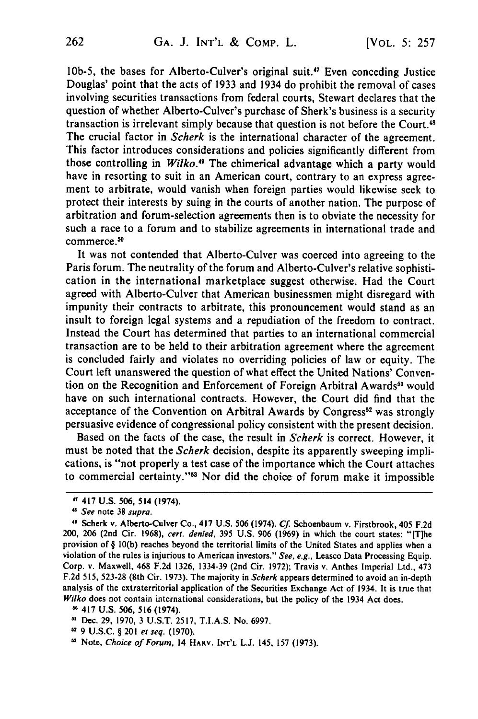lOb-5, the bases for Alberto-Culver's original suit.'7 Even conceding Justice Douglas' point that the acts of 1933 and 1934 do prohibit the removal of cases involving securities transactions from federal courts, Stewart declares that the question of whether Alberto-Culver's purchase of Sherk's business is a security transaction is irrelevant simply because that question is not before the Court.<sup>48</sup> The crucial factor in *Scherk* is the international character of the agreement. This factor introduces considerations and policies significantly different from those controlling in *Wilko."* The chimerical advantage which a party would have in resorting to suit in an American court, contrary to an express agreement to arbitrate, would vanish when foreign parties would likewise seek to protect their interests by suing in the courts of another nation. The purpose of arbitration and forum-selection agreements then is to obviate the necessity for such a race to a forum and to stabilize agreements in international trade and commerce.<sup>50</sup>

It was not contended that Alberto-Culver was coerced into agreeing to the Paris forum. The neutrality of the forum and Alberto-Culver's relative sophistication in the international marketplace suggest otherwise. Had the Court agreed with Alberto-Culver that American businessmen might disregard with impunity their contracts to arbitrate, this pronouncement would stand as an insult to foreign legal systems and a repudiation of the freedom to contract. Instead the Court has determined that parties to an international commercial transaction are to be held to their arbitration agreement where the agreement is concluded fairly and violates no overriding policies of law or equity. The Court left unanswered the question of what effect the United Nations' Convention on the Recognition and Enforcement of Foreign Arbitral Awards<sup>51</sup> would have on such international contracts. However, the Court did find that the acceptance of the Convention on Arbitral Awards by Congress<sup>52</sup> was strongly persuasive evidence of congressional policy consistent with the present decision.

Based on the facts of the case, the result in *Scherk* is correct. However, it must be noted that the *Scherk* decision, despite its apparently sweeping implications, is "not properly a test case of the importance which the Court attaches to commercial certainty."<sup>53</sup> Nor did the choice of forum make it impossible

<sup>47 417</sup> **U.S. 506,** 514 (1974).

<sup>&</sup>quot; *See* note 38 *supra.*

<sup>&</sup>quot; Scherk **v.** Alberto-Culver Co., 417 U.S. 506 (1974). **Cf.** Schoenbaum v. Firstbrook, 405 F.2d 200, 206 (2nd Cir. 1968), *cert. denied,* 395 U.S. 906 (1969) in which the court states: "[Tlhe provision of § 10(b) reaches beyond the territorial limits of the United States and applies when a violation of the rules is injurious to American investors." *See, e.g.,* Leasco Data Processing Equip. Corp. v. Maxwell, 468 F.2d 1326, 1334-39 (2nd Cir. 1972); Travis v. Anthes Imperial Ltd., 473 F.2d 515, 523-28 (8th Cir. 1973). The majority in *Scherk* appears determined to avoid an in-depth analysis of the extraterritorial application of the Securities Exchange Act of 1934. It is true that *Wilko* does not contain international considerations, but the policy of the 1934 Act does.

**<sup>-</sup>** 417 U.S. **506, 516** (1974).

**<sup>51</sup>** Dec. **29, 1970,** 3 U.S.T. 2517, T.I.A.S. No. **6997.**

<sup>32</sup>**9** U.S.C. § 201 *et seq.* (1970).

**<sup>5</sup>**Note, Choice of *Forum,* 14 **HARv. INT'L** L.J. 145, 157 (1973).